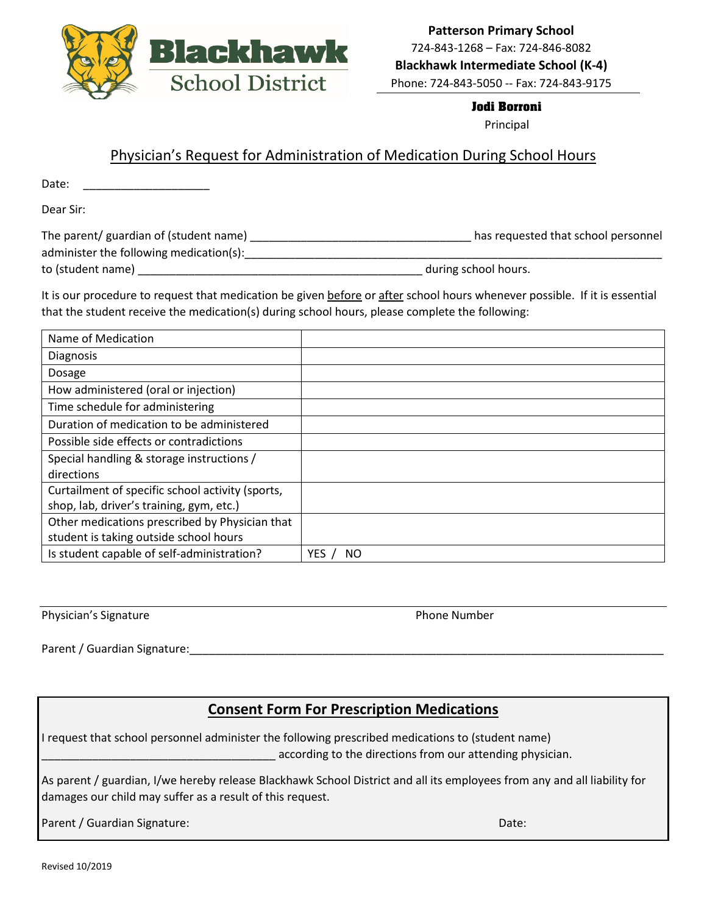

### **Jodi Borroni**

Principal

### Physician's Request for Administration of Medication During School Hours

Date:

Dear Sir:

| The parent/ guardian of (student name)  | has requested that school personnel |
|-----------------------------------------|-------------------------------------|
| administer the following medication(s): |                                     |
| to (student name)                       | during school hours.                |

It is our procedure to request that medication be given before or after school hours whenever possible. If it is essential that the student receive the medication(s) during school hours, please complete the following:

| Name of Medication                               |           |
|--------------------------------------------------|-----------|
| <b>Diagnosis</b>                                 |           |
| Dosage                                           |           |
| How administered (oral or injection)             |           |
| Time schedule for administering                  |           |
| Duration of medication to be administered        |           |
| Possible side effects or contradictions          |           |
| Special handling & storage instructions /        |           |
| directions                                       |           |
| Curtailment of specific school activity (sports, |           |
| shop, lab, driver's training, gym, etc.)         |           |
| Other medications prescribed by Physician that   |           |
| student is taking outside school hours           |           |
| Is student capable of self-administration?       | YES<br>ΝO |

Physician's Signature **Physician's Signature** Phone Number

Parent / Guardian Signature:

## **Consent Form For Prescription Medications**

I request that school personnel administer the following prescribed medications to (student name) \_\_\_\_\_\_\_\_\_\_\_\_\_\_\_\_\_\_\_\_\_\_\_\_\_\_\_\_\_\_\_\_\_\_\_\_\_ according to the directions from our attending physician.

As parent / guardian, I/we hereby release Blackhawk School District and all its employees from any and all liability for damages our child may suffer as a result of this request.

Parent / Guardian Signature: Date: Date: Date: Date: Date: Date: Date: Date: Date: Date: Date: Date: Date: Date: Date: Date: Date: Date: Date: Date: Date: Date: Date: Date: Date: Date: Date: Date: Date: Date: Date: Date: D